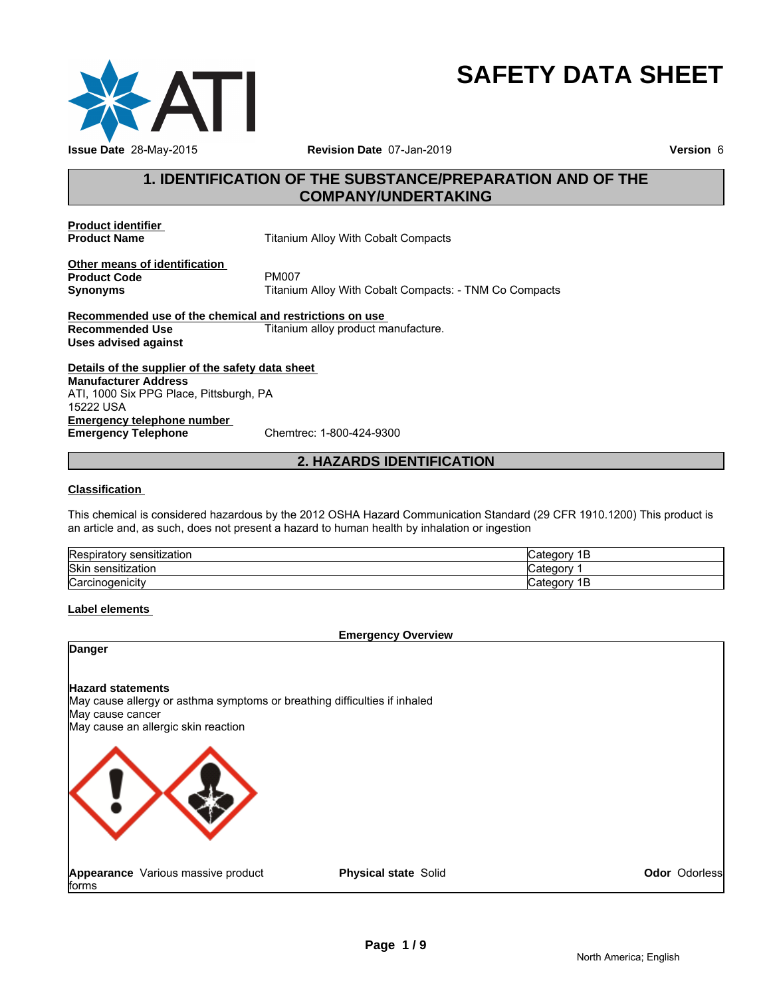

# **SAFETY DATA SHEET**

# **1. IDENTIFICATION OF THE SUBSTANCE/PREPARATION AND OF THE COMPANY/UNDERTAKING**

**Product identifier** 

**Titanium Alloy With Cobalt Compacts** 

**Other means of identification**<br>**Product Code** PM007 **Product Code**<br>Synonyms

**Synonyms** Titanium Alloy With Cobalt Compacts: - TNM Co Compacts

**Recommended use of the chemical and restrictions on use Recommended Use Titanium alloy product manufacture. Uses advised against**

**Details of the supplier of the safety data sheet Emergency telephone number**<br> **Emergency Telephone**<br>
Chemtrec: 1-800-424-9300 **Emergency Telephone Manufacturer Address** ATI, 1000 Six PPG Place, Pittsburgh, PA 15222 USA

# **2. HAZARDS IDENTIFICATION**

### **Classification**

This chemical is considered hazardous by the 2012 OSHA Hazard Communication Standard (29 CFR 1910.1200) This product is an article and, as such, does not present a hazard to human health by inhalation or ingestion

| $\overline{\phantom{a}}$<br>.<br>. .<br>sensitization<br>Respirator | ategorٽ,<br>P |
|---------------------------------------------------------------------|---------------|
| <b>Skin</b><br>ı sensıtızatıon                                      | ∵ategor∨      |
| ∽<br><b>Carcinogenicity</b>                                         | ategorٽ,<br>Е |

### **Label elements**

### **Emergency Overview**

### **Danger**

### **Hazard statements**

May cause allergy or asthma symptoms or breathing difficulties if inhaled May cause cancer May cause an allergic skin reaction



**Appearance** Various massive product forms

**Physical state** Solid

**Odor** Odorless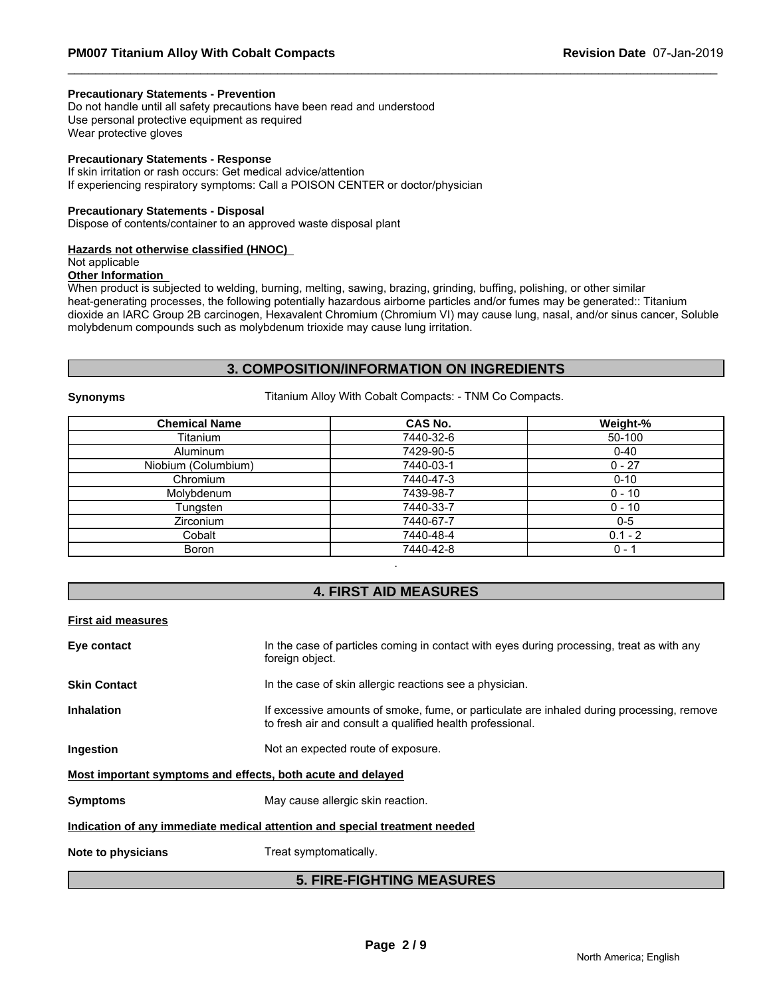### **Precautionary Statements - Prevention**

Do not handle until all safety precautions have been read and understood Use personal protective equipment as required Wear protective gloves

### **Precautionary Statements - Response**

If skin irritation or rash occurs: Get medical advice/attention If experiencing respiratory symptoms: Call a POISON CENTER or doctor/physician

### **Precautionary Statements - Disposal**

Dispose of contents/container to an approved waste disposal plant

### **Hazards not otherwise classified (HNOC)**

# Not applicable

# **Other Information**

When product is subjected to welding, burning, melting, sawing, brazing, grinding, buffing, polishing, or other similar heat-generating processes, the following potentially hazardous airborne particles and/or fumes may be generated:: Titanium dioxide an IARC Group 2B carcinogen, Hexavalent Chromium (Chromium VI) may cause lung, nasal, and/or sinus cancer, Soluble molybdenum compounds such as molybdenum trioxide may cause lung irritation.

# **3. COMPOSITION/INFORMATION ON INGREDIENTS**

**Synonyms** Titanium Alloy With Cobalt Compacts: - TNM Co Compacts.

| <b>Chemical Name</b> | <b>CAS No.</b> | Weight-%  |
|----------------------|----------------|-----------|
| Titanium             | 7440-32-6      | 50-100    |
| Aluminum             | 7429-90-5      | $0 - 40$  |
| Niobium (Columbium)  | 7440-03-1      | $0 - 27$  |
| Chromium             | 7440-47-3      | $0 - 10$  |
| Molybdenum           | 7439-98-7      | $0 - 10$  |
| Tungsten             | 7440-33-7      | $0 - 10$  |
| <b>Zirconium</b>     | 7440-67-7      | $0-5$     |
| Cobalt               | 7440-48-4      | $0.1 - 2$ |
| Boron                | 7440-42-8      | $0 - 1$   |

### **4. FIRST AID MEASURES**

.

### **First aid measures**

|                     | <b>5. FIRE-FIGHTING MEASURES</b>                                                                                                                       |
|---------------------|--------------------------------------------------------------------------------------------------------------------------------------------------------|
| Note to physicians  | Treat symptomatically.                                                                                                                                 |
|                     | Indication of any immediate medical attention and special treatment needed                                                                             |
| <b>Symptoms</b>     | May cause allergic skin reaction.                                                                                                                      |
|                     | Most important symptoms and effects, both acute and delayed                                                                                            |
| Ingestion           | Not an expected route of exposure.                                                                                                                     |
| <b>Inhalation</b>   | If excessive amounts of smoke, fume, or particulate are inhaled during processing, remove<br>to fresh air and consult a qualified health professional. |
| <b>Skin Contact</b> | In the case of skin allergic reactions see a physician.                                                                                                |
| Eye contact         | In the case of particles coming in contact with eyes during processing, treat as with any<br>foreign object.                                           |
|                     |                                                                                                                                                        |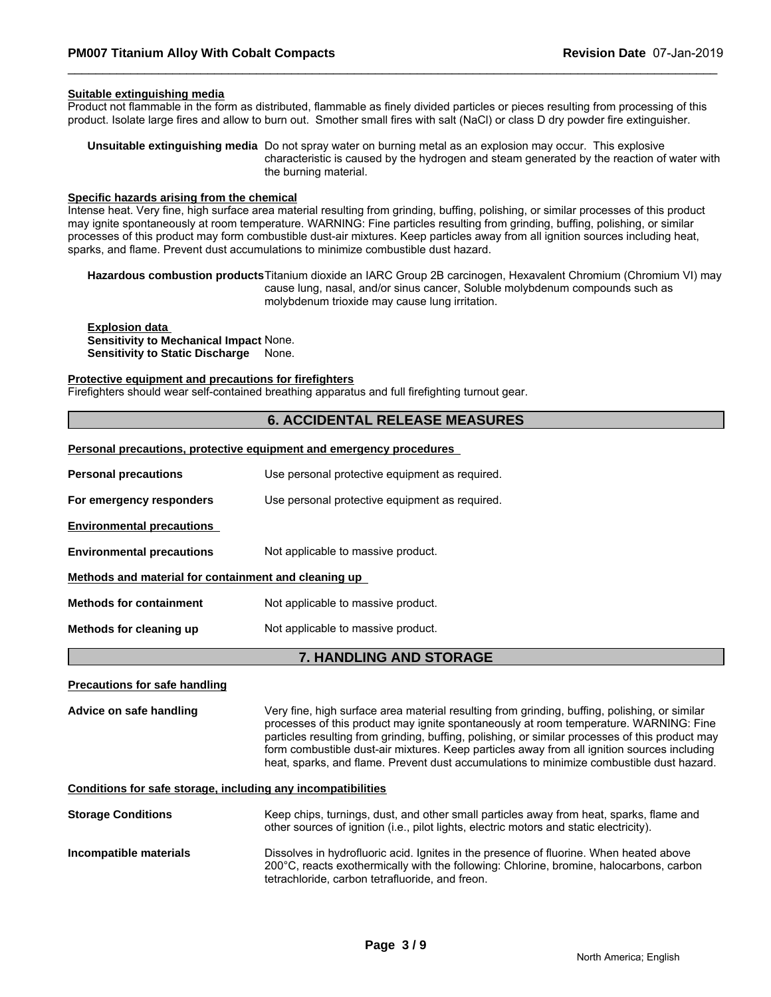### **Suitable extinguishing media**

Product not flammable in the form as distributed, flammable as finely divided particles or pieces resulting from processing of this product. Isolate large fires and allow to burn out. Smother small fires with salt (NaCl) or class D dry powder fire extinguisher.

**Unsuitable extinguishing media** Do not spray water on burning metal as an explosion may occur. This explosive characteristic is caused by the hydrogen and steam generated by the reaction of water with the burning material.

### **Specific hazards arising from the chemical**

Intense heat. Very fine, high surface area material resulting from grinding, buffing, polishing, or similar processes of this product may ignite spontaneously at room temperature. WARNING: Fine particles resulting from grinding, buffing, polishing, or similar processes of this product may form combustible dust-air mixtures. Keep particles away from all ignition sources including heat, sparks, and flame. Prevent dust accumulations to minimize combustible dust hazard.

**Hazardous combustion products**Titanium dioxide an IARC Group 2B carcinogen, Hexavalent Chromium (Chromium VI) may cause lung, nasal, and/or sinus cancer, Soluble molybdenum compounds such as molybdenum trioxide may cause lung irritation.

### **Explosion data Sensitivity to Mechanical Impact** None. **Sensitivity to Static Discharge** None.

### **Protective equipment and precautions for firefighters**

Firefighters should wear self-contained breathing apparatus and full firefighting turnout gear.

### **6. ACCIDENTAL RELEASE MEASURES**

### **Personal precautions, protective equipment and emergency procedures**

| <b>Personal precautions</b>                          | Use personal protective equipment as required. |  |
|------------------------------------------------------|------------------------------------------------|--|
| For emergency responders                             | Use personal protective equipment as required. |  |
| <b>Environmental precautions</b>                     |                                                |  |
| <b>Environmental precautions</b>                     | Not applicable to massive product.             |  |
| Methods and material for containment and cleaning up |                                                |  |
| <b>Methods for containment</b>                       | Not applicable to massive product.             |  |
| Methods for cleaning up                              | Not applicable to massive product.             |  |

### **7. HANDLING AND STORAGE**

### **Precautions for safe handling**

**Advice on safe handling** Very fine, high surface area material resulting from grinding, buffing, polishing, or similar processes of this product may ignite spontaneously at room temperature. WARNING: Fine particles resulting from grinding, buffing, polishing, or similar processes of this product may form combustible dust-air mixtures. Keep particles away from all ignition sources including heat, sparks, and flame. Prevent dust accumulations to minimize combustible dust hazard.

### **Conditions for safe storage, including any incompatibilities**

| <b>Storage Conditions</b> | Keep chips, turnings, dust, and other small particles away from heat, sparks, flame and<br>other sources of ignition (i.e., pilot lights, electric motors and static electricity).                                                   |
|---------------------------|--------------------------------------------------------------------------------------------------------------------------------------------------------------------------------------------------------------------------------------|
| Incompatible materials    | Dissolves in hydrofluoric acid. Ignites in the presence of fluorine. When heated above<br>200°C, reacts exothermically with the following: Chlorine, bromine, halocarbons, carbon<br>tetrachloride, carbon tetrafluoride, and freon. |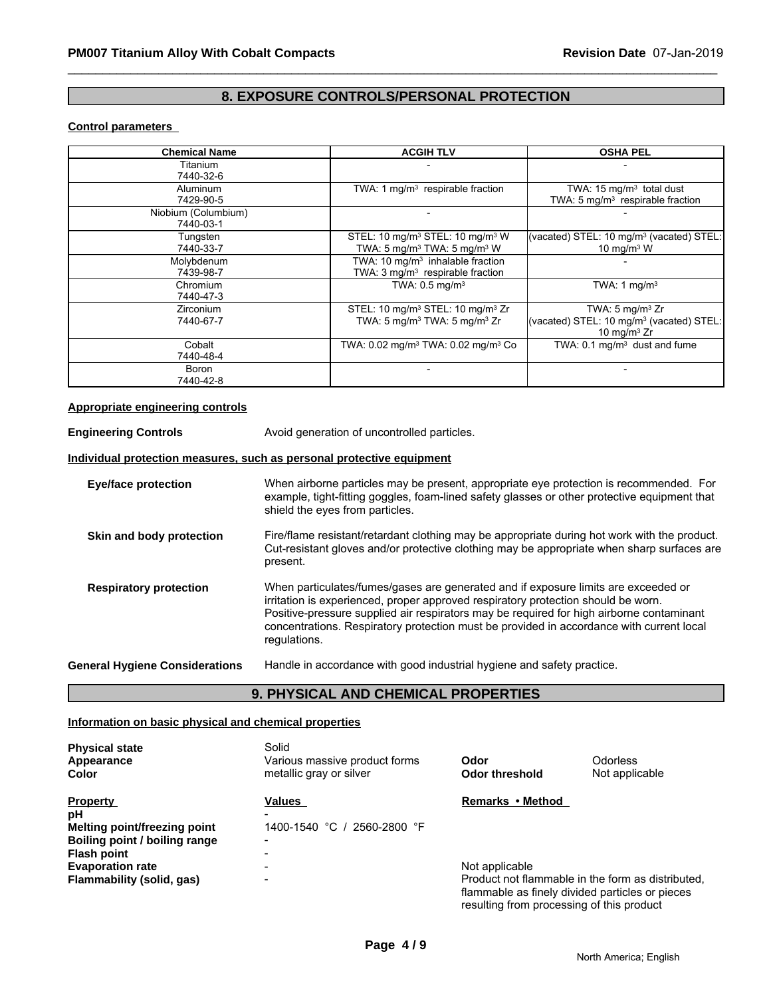# **8. EXPOSURE CONTROLS/PERSONAL PROTECTION**

### **Control parameters**

| <b>Chemical Name</b> | <b>ACGIH TLV</b>                                           | <b>OSHA PEL</b>                                      |
|----------------------|------------------------------------------------------------|------------------------------------------------------|
| Titanium             |                                                            |                                                      |
| 7440-32-6            |                                                            |                                                      |
| Aluminum             | TWA: 1 mg/m <sup>3</sup> respirable fraction               | TWA: $15 \text{ mg/m}^3$ total dust                  |
| 7429-90-5            |                                                            | TWA: 5 mg/m <sup>3</sup> respirable fraction         |
| Niobium (Columbium)  |                                                            |                                                      |
| 7440-03-1            |                                                            |                                                      |
| Tungsten             | STEL: 10 mg/m <sup>3</sup> STEL: 10 mg/m <sup>3</sup> W    | (vacated) STEL: 10 mg/m <sup>3</sup> (vacated) STEL: |
| 7440-33-7            | TWA: 5 mg/m <sup>3</sup> TWA: 5 mg/m <sup>3</sup> W        | 10 mg/m $3$ W                                        |
| Molybdenum           | TWA: 10 $mq/m3$ inhalable fraction                         |                                                      |
| 7439-98-7            | TWA: $3 \text{ mg/m}^3$ respirable fraction                |                                                      |
| Chromium             | TWA: $0.5 \text{ mg/m}^3$                                  | TWA: $1 \text{ mq/m}^3$                              |
| 7440-47-3            |                                                            |                                                      |
| <b>Zirconium</b>     | STEL: 10 mg/m <sup>3</sup> STEL: 10 mg/m <sup>3</sup> Zr   | TWA: $5 \text{ mg/m}^3$ Zr                           |
| 7440-67-7            | TWA: 5 mg/m <sup>3</sup> TWA: 5 mg/m <sup>3</sup> Zr       | (vacated) STEL: 10 mg/m <sup>3</sup> (vacated) STEL: |
|                      |                                                            | 10 mg/m $3$ Zr                                       |
| Cobalt               | TWA: 0.02 mg/m <sup>3</sup> TWA: 0.02 mg/m <sup>3</sup> Co | TWA: $0.1 \text{ mg/m}^3$ dust and fume              |
| 7440-48-4            |                                                            |                                                      |
| Boron                |                                                            |                                                      |
| 7440-42-8            |                                                            |                                                      |

### **Appropriate engineering controls**

**Engineering Controls** Avoid generation of uncontrolled particles.

### **Individual protection measures, such as personal protective equipment**

| <b>Eye/face protection</b>            | When airborne particles may be present, appropriate eye protection is recommended. For<br>example, tight-fitting goggles, foam-lined safety glasses or other protective equipment that<br>shield the eyes from particles.                                                                                                                                                       |
|---------------------------------------|---------------------------------------------------------------------------------------------------------------------------------------------------------------------------------------------------------------------------------------------------------------------------------------------------------------------------------------------------------------------------------|
| Skin and body protection              | Fire/flame resistant/retardant clothing may be appropriate during hot work with the product.<br>Cut-resistant gloves and/or protective clothing may be appropriate when sharp surfaces are<br>present.                                                                                                                                                                          |
| <b>Respiratory protection</b>         | When particulates/fumes/gases are generated and if exposure limits are exceeded or<br>irritation is experienced, proper approved respiratory protection should be worn.<br>Positive-pressure supplied air respirators may be required for high airborne contaminant<br>concentrations. Respiratory protection must be provided in accordance with current local<br>regulations. |
| <b>General Hygiene Considerations</b> | Handle in accordance with good industrial hygiene and safety practice.                                                                                                                                                                                                                                                                                                          |

# **9. PHYSICAL AND CHEMICAL PROPERTIES**

### **Information on basic physical and chemical properties**

| <b>Physical state</b><br>Appearance<br><b>Color</b>                            | Solid<br>Various massive product forms<br>metallic gray or silver | Odor<br>Odor threshold                    | <b>Odorless</b><br>Not applicable                                                                    |
|--------------------------------------------------------------------------------|-------------------------------------------------------------------|-------------------------------------------|------------------------------------------------------------------------------------------------------|
| <b>Property</b><br>рH<br><b>Melting point/freezing point</b>                   | Values<br>1400-1540 °C /<br>2560-2800 °F                          | Remarks • Method                          |                                                                                                      |
| Boiling point / boiling range<br><b>Flash point</b><br><b>Evaporation rate</b> | -<br>$\blacksquare$<br>-                                          | Not applicable                            |                                                                                                      |
| Flammability (solid, gas)                                                      | $\blacksquare$                                                    | resulting from processing of this product | Product not flammable in the form as distributed.<br>flammable as finely divided particles or pieces |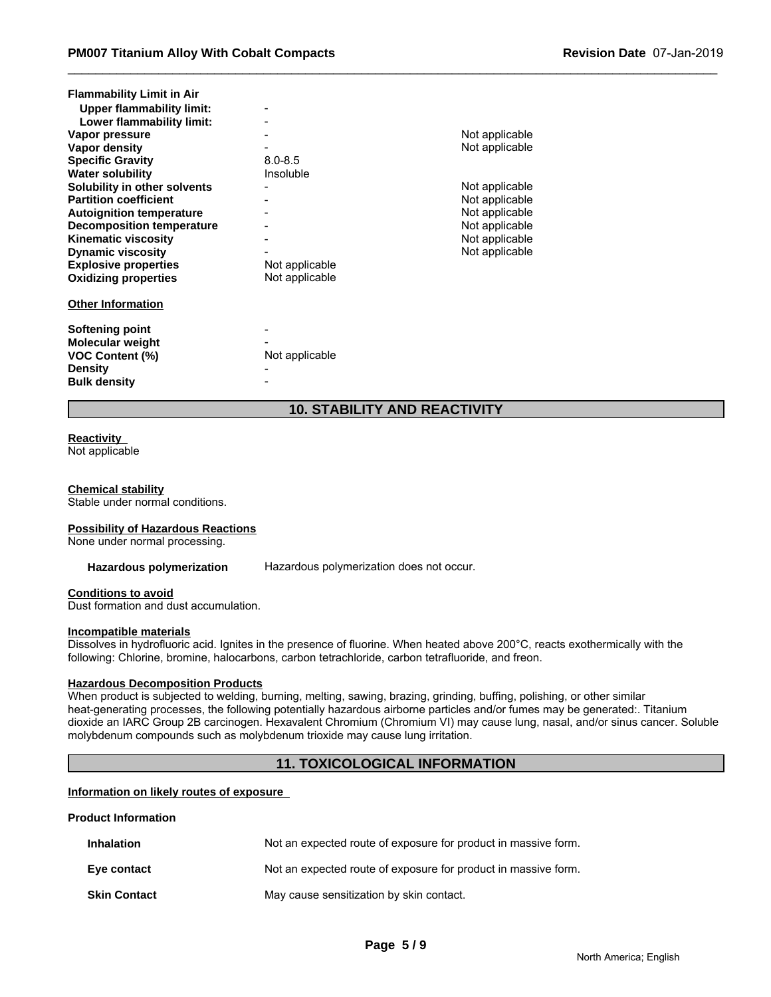| <b>Flammability Limit in Air</b><br><b>Upper flammability limit:</b> |                |                |
|----------------------------------------------------------------------|----------------|----------------|
| Lower flammability limit:                                            |                |                |
| Vapor pressure                                                       |                | Not applicable |
| Vapor density                                                        |                | Not applicable |
| <b>Specific Gravity</b>                                              | $8.0 - 8.5$    |                |
| <b>Water solubility</b>                                              | Insoluble      |                |
| Solubility in other solvents                                         |                | Not applicable |
| <b>Partition coefficient</b>                                         |                | Not applicable |
| <b>Autoignition temperature</b>                                      |                | Not applicable |
| <b>Decomposition temperature</b>                                     |                | Not applicable |
| <b>Kinematic viscosity</b>                                           |                | Not applicable |
| <b>Dynamic viscosity</b>                                             |                | Not applicable |
| <b>Explosive properties</b>                                          | Not applicable |                |
| <b>Oxidizing properties</b>                                          | Not applicable |                |
| <b>Other Information</b>                                             |                |                |
| Softening point                                                      |                |                |
| <b>Molecular weight</b>                                              |                |                |
| <b>VOC Content (%)</b>                                               | Not applicable |                |
| <b>Density</b>                                                       |                |                |
| <b>Bulk density</b>                                                  |                |                |

# **10. STABILITY AND REACTIVITY**

### **Reactivity**

Not applicable

### **Chemical stability**

Stable under normal conditions.

### **Possibility of Hazardous Reactions**

None under normal processing.

**Hazardous polymerization** Hazardous polymerization does not occur.

### **Conditions to avoid**

Dust formation and dust accumulation.

### **Incompatible materials**

Dissolves in hydrofluoric acid. Ignites in the presence of fluorine. When heated above 200°C, reacts exothermically with the following: Chlorine, bromine, halocarbons, carbon tetrachloride, carbon tetrafluoride, and freon.

### **Hazardous Decomposition Products**

When product is subjected to welding, burning, melting, sawing, brazing, grinding, buffing, polishing, or other similar heat-generating processes, the following potentially hazardous airborne particles and/or fumes may be generated:. Titanium dioxide an IARC Group 2B carcinogen. Hexavalent Chromium (Chromium VI) may cause lung, nasal, and/or sinus cancer. Soluble molybdenum compounds such as molybdenum trioxide may cause lung irritation.

# **11. TOXICOLOGICAL INFORMATION**

### **Information on likely routes of exposure**

### **Product Information**

| <b>Inhalation</b>   | Not an expected route of exposure for product in massive form. |
|---------------------|----------------------------------------------------------------|
| Eye contact         | Not an expected route of exposure for product in massive form. |
| <b>Skin Contact</b> | May cause sensitization by skin contact.                       |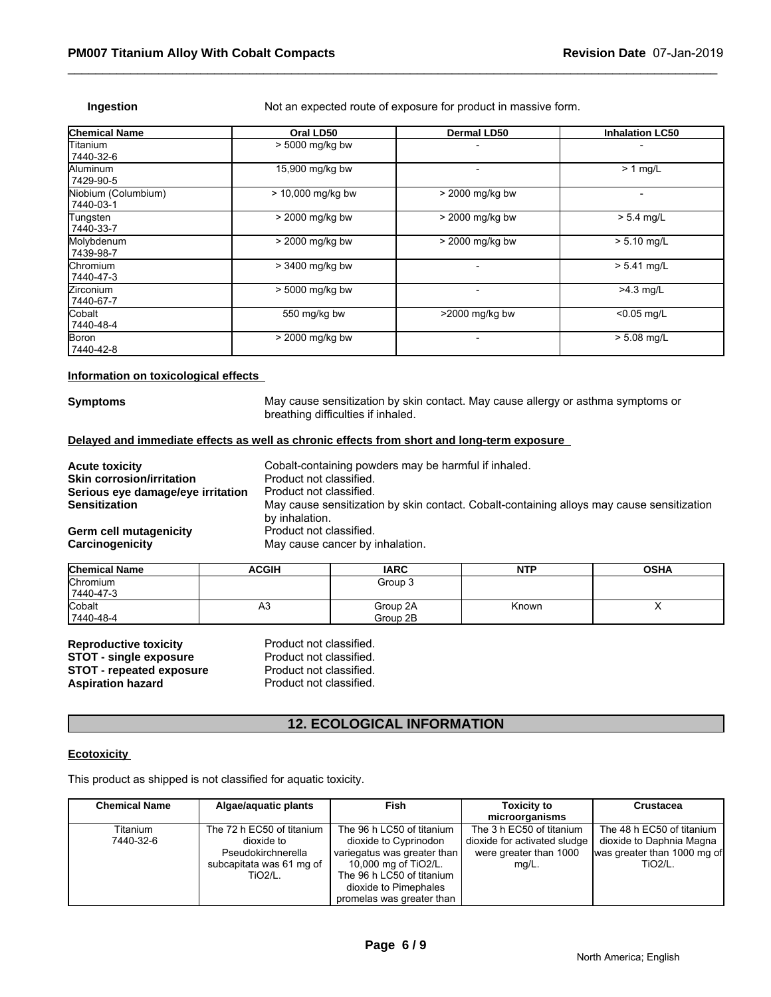**Ingestion** Not an expected route of exposure for product in massive form.

| <b>Chemical Name</b>             | Oral LD50           | <b>Dermal LD50</b>       | <b>Inhalation LC50</b>   |
|----------------------------------|---------------------|--------------------------|--------------------------|
| Titanium<br>7440-32-6            | > 5000 mg/kg bw     |                          |                          |
| <b>Aluminum</b><br>7429-90-5     | 15,900 mg/kg bw     | $\overline{\phantom{0}}$ | $> 1$ mg/L               |
| Niobium (Columbium)<br>7440-03-1 | $> 10,000$ mg/kg bw | > 2000 mg/kg bw          | $\overline{\phantom{0}}$ |
| Tungsten<br>7440-33-7            | > 2000 mg/kg bw     | > 2000 mg/kg bw          | $> 5.4$ mg/L             |
| Molybdenum<br>7439-98-7          | > 2000 mg/kg bw     | > 2000 mg/kg bw          | $> 5.10$ mg/L            |
| <b>Chromium</b><br>7440-47-3     | > 3400 mg/kg bw     |                          | $> 5.41$ mg/L            |
| <b>Zirconium</b><br>7440-67-7    | > 5000 mg/kg bw     |                          | $>4.3$ mg/L              |
| Cobalt<br>7440-48-4              | 550 mg/kg bw        | >2000 mg/kg bw           | $< 0.05$ mg/L            |
| Boron<br>7440-42-8               | > 2000 mg/kg bw     |                          | $> 5.08$ mg/L            |

### **Information on toxicological effects**

**Symptoms** May cause sensitization by skin contact. May cause allergy or asthma symptoms or breathing difficulties if inhaled.

### **Delayed and immediate effects as well as chronic effects from short and long-term exposure**

| <b>Acute toxicity</b>             | Cobalt-containing powders may be harmful if inhaled.                                      |
|-----------------------------------|-------------------------------------------------------------------------------------------|
| <b>Skin corrosion/irritation</b>  | Product not classified.                                                                   |
| Serious eye damage/eye irritation | Product not classified.                                                                   |
| <b>Sensitization</b>              | May cause sensitization by skin contact. Cobalt-containing alloys may cause sensitization |
|                                   | by inhalation.                                                                            |
| Germ cell mutagenicity            | Product not classified.                                                                   |
| Carcinogenicity                   | May cause cancer by inhalation.                                                           |

| <b>Chemical Name</b> | <b>ACGIH</b> | <b>IARC</b> | <b>NTP</b> | <b>OSHA</b> |
|----------------------|--------------|-------------|------------|-------------|
| Chromium             |              | Group 3     |            |             |
| 7440-47-3            |              |             |            |             |
| Cobalt               | As           | Group 2A    | Known      |             |
| 7440-48-4            |              | Group 2B    |            |             |

| <b>Reproductive toxicity</b>    | Product not classified. |
|---------------------------------|-------------------------|
| <b>STOT - single exposure</b>   | Product not classified. |
| <b>STOT - repeated exposure</b> | Product not classified. |
| <b>Aspiration hazard</b>        | Product not classified. |

# **12. ECOLOGICAL INFORMATION**

### **Ecotoxicity**

| NGPI OGGOGIYA LOXIOILY<br>. Touuot Hot oluoomiou.<br>Product not classified.<br><b>STOT - single exposure</b><br><b>STOT - repeated exposure</b><br>Product not classified.<br>Product not classified.<br><b>Aspiration hazard</b> |                                                                                                             |                                                                                                                                                                                              |                                                                                                |                                                                                                              |
|------------------------------------------------------------------------------------------------------------------------------------------------------------------------------------------------------------------------------------|-------------------------------------------------------------------------------------------------------------|----------------------------------------------------------------------------------------------------------------------------------------------------------------------------------------------|------------------------------------------------------------------------------------------------|--------------------------------------------------------------------------------------------------------------|
|                                                                                                                                                                                                                                    |                                                                                                             | <b>12. ECOLOGICAL INFORMATION</b>                                                                                                                                                            |                                                                                                |                                                                                                              |
| <b>Ecotoxicity</b>                                                                                                                                                                                                                 |                                                                                                             |                                                                                                                                                                                              |                                                                                                |                                                                                                              |
|                                                                                                                                                                                                                                    | This product as shipped is not classified for aquatic toxicity.                                             |                                                                                                                                                                                              |                                                                                                |                                                                                                              |
| <b>Chemical Name</b>                                                                                                                                                                                                               | Algae/aquatic plants                                                                                        | Fish                                                                                                                                                                                         | <b>Toxicity to</b><br>microorganisms                                                           | <b>Crustacea</b>                                                                                             |
| Titanium<br>7440-32-6                                                                                                                                                                                                              | The 72 h EC50 of titanium<br>dioxide to<br>Pseudokirchnerella<br>subcapitata was 61 mg of<br><b>TiO2/L.</b> | The 96 h LC50 of titanium<br>dioxide to Cyprinodon<br>variegatus was greater than<br>10,000 mg of TiO2/L.<br>The 96 h LC50 of titanium<br>dioxide to Pimephales<br>promelas was greater than | The 3 h EC50 of titanium<br>dioxide for activated sludge<br>were greater than 1000<br>$mg/L$ . | The 48 h EC50 of titanium<br>dioxide to Daphnia Magna<br>was greater than 1000 mg of<br>TiO <sub>2</sub> /L. |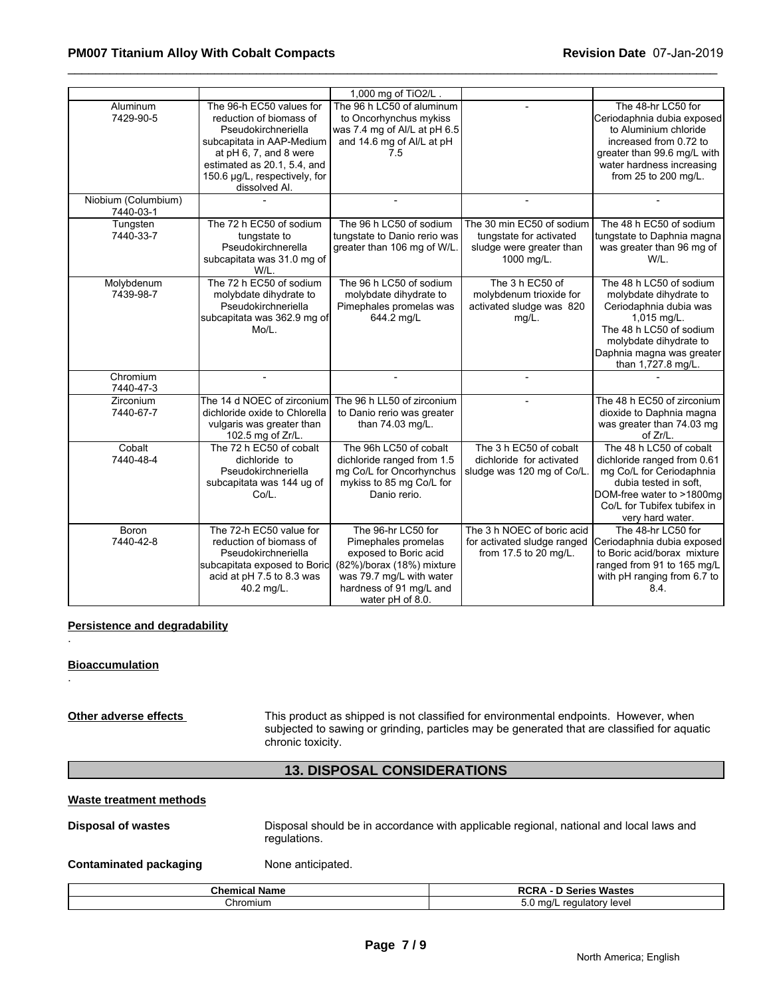### \_\_\_\_\_\_\_\_\_\_\_\_\_\_\_\_\_\_\_\_\_\_\_\_\_\_\_\_\_\_\_\_\_\_\_\_\_\_\_\_\_\_\_\_\_\_\_\_\_\_\_\_\_\_\_\_\_\_\_\_\_\_\_\_\_\_\_\_\_\_\_\_\_\_\_\_\_\_\_\_\_\_\_\_\_\_\_\_\_\_\_\_\_ **PM007 Titanium Alloy With Cobalt Compacts Revision Date** 07-Jan-2019

|                                  |                                                                                                                                                                                                                    | 1,000 mg of TiO2/L                                                                                                                                                         |                                                                                                |                                                                                                                                                                                                    |
|----------------------------------|--------------------------------------------------------------------------------------------------------------------------------------------------------------------------------------------------------------------|----------------------------------------------------------------------------------------------------------------------------------------------------------------------------|------------------------------------------------------------------------------------------------|----------------------------------------------------------------------------------------------------------------------------------------------------------------------------------------------------|
| Aluminum<br>7429-90-5            | The 96-h EC50 values for<br>reduction of biomass of<br>Pseudokirchneriella<br>subcapitata in AAP-Medium<br>at pH 6, 7, and 8 were<br>estimated as 20.1, 5.4, and<br>150.6 µg/L, respectively, for<br>dissolved Al. | The 96 h LC50 of aluminum<br>to Oncorhynchus mykiss<br>was 7.4 mg of Al/L at pH 6.5<br>and 14.6 mg of Al/L at pH<br>7.5                                                    |                                                                                                | The 48-hr LC50 for<br>Ceriodaphnia dubia exposed<br>to Aluminium chloride<br>increased from 0.72 to<br>greater than 99.6 mg/L with<br>water hardness increasing<br>from 25 to 200 mg/L.            |
| Niobium (Columbium)<br>7440-03-1 |                                                                                                                                                                                                                    |                                                                                                                                                                            |                                                                                                |                                                                                                                                                                                                    |
| Tungsten<br>7440-33-7            | The 72 h EC50 of sodium<br>tungstate to<br>Pseudokirchnerella<br>subcapitata was 31.0 mg of<br>W/L.                                                                                                                | The 96 h LC50 of sodium<br>tungstate to Danio rerio was<br>greater than 106 mg of W/L                                                                                      | The 30 min EC50 of sodium<br>tungstate for activated<br>sludge were greater than<br>1000 mg/L. | The 48 h EC50 of sodium<br>tungstate to Daphnia magna<br>was greater than 96 mg of<br>W/L.                                                                                                         |
| Molybdenum<br>7439-98-7          | The 72 h EC50 of sodium<br>molybdate dihydrate to<br>Pseudokirchneriella<br>subcapitata was 362.9 mg of<br>Mo/L.                                                                                                   | The 96 h LC50 of sodium<br>molybdate dihydrate to<br>Pimephales promelas was<br>644.2 mg/L                                                                                 | The 3 h EC50 of<br>molybdenum trioxide for<br>activated sludge was 820<br>$mg/L$ .             | The 48 h LC50 of sodium<br>molybdate dihydrate to<br>Ceriodaphnia dubia was<br>1,015 mg/L.<br>The 48 h LC50 of sodium<br>molybdate dihydrate to<br>Daphnia magna was greater<br>than 1,727.8 mg/L. |
| Chromium<br>7440-47-3            | $\overline{\phantom{a}}$                                                                                                                                                                                           | $\blacksquare$                                                                                                                                                             |                                                                                                |                                                                                                                                                                                                    |
| Zirconium<br>7440-67-7           | The 14 d NOEC of zirconium<br>dichloride oxide to Chlorella<br>vulgaris was greater than<br>102.5 mg of Zr/L.                                                                                                      | The 96 h LL50 of zirconium<br>to Danio rerio was greater<br>than 74.03 mg/L.                                                                                               |                                                                                                | The 48 h EC50 of zirconium<br>dioxide to Daphnia magna<br>was greater than 74.03 mg<br>of Zr/L.                                                                                                    |
| Cobalt<br>7440-48-4              | The 72 h EC50 of cobalt<br>dichloride to<br>Pseudokirchneriella<br>subcapitata was 144 ug of<br>Co/L.                                                                                                              | The 96h LC50 of cobalt<br>dichloride ranged from 1.5<br>mg Co/L for Oncorhynchus<br>mykiss to 85 mg Co/L for<br>Danio rerio.                                               | The 3 h EC50 of cobalt<br>dichloride for activated<br>sludge was 120 mg of Co/L                | The 48 h LC50 of cobalt<br>dichloride ranged from 0.61<br>mg Co/L for Ceriodaphnia<br>dubia tested in soft,<br>DOM-free water to >1800mg<br>Co/L for Tubifex tubifex in<br>very hard water.        |
| <b>Boron</b><br>7440-42-8        | The 72-h EC50 value for<br>reduction of biomass of<br>Pseudokirchneriella<br>subcapitata exposed to Boric<br>acid at pH 7.5 to 8.3 was<br>40.2 mg/L.                                                               | The 96-hr LC50 for<br>Pimephales promelas<br>exposed to Boric acid<br>(82%)/borax (18%) mixture<br>was 79.7 mg/L with water<br>hardness of 91 mg/L and<br>water pH of 8.0. | The 3 h NOEC of boric acid<br>for activated sludge ranged<br>from 17.5 to 20 mg/L.             | The 48-hr LC50 for<br>Ceriodaphnia dubia exposed<br>to Boric acid/borax mixture<br>ranged from 91 to 165 mg/L<br>with pH ranging from 6.7 to<br>8.4.                                               |

### **Persistence and degradability**

### **Bioaccumulation**

.

.

**Other adverse effects** This product as shipped is not classified for environmental endpoints. However, when subjected to sawing or grinding, particles may be generated that are classified for aquatic chronic toxicity.

# **13. DISPOSAL CONSIDERATIONS**

### **Waste treatment methods**

**Disposal of wastes** Disposal should be in accordance with applicable regional, national and local laws and regulations.

### **Contaminated packaging Mone anticipated.**

| . .<br>Chemical<br>Name | <br>. .<br>Wastes<br>- 1<br>eries.<br>nvnr<br>. . |
|-------------------------|---------------------------------------------------|
| :hromium                | regulatory level<br>ma/L<br>v.v<br>. .<br>. .     |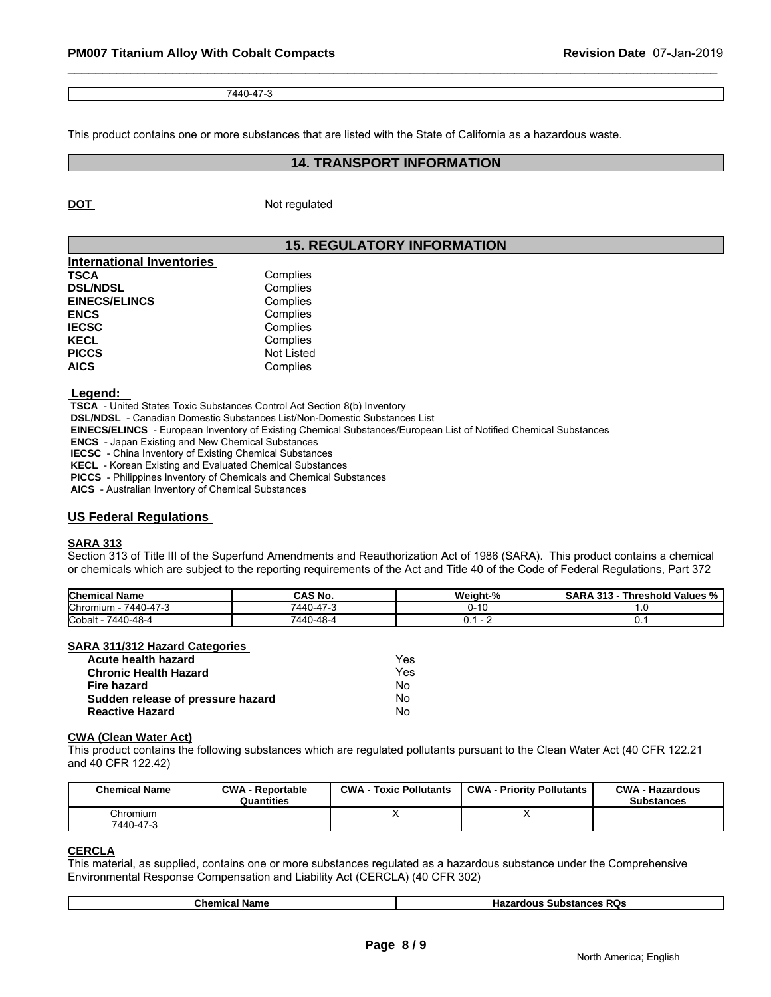| $-1121 - 122$<br>7AAO.A<br>-- |  |
|-------------------------------|--|

This product contains one or more substances that are listed with the State of California as a hazardous waste.

### **14. TRANSPORT INFORMATION**

**DOT** Not regulated

# **15. REGULATORY INFORMATION**

| <b>International Inventories</b> |            |  |
|----------------------------------|------------|--|
| <b>TSCA</b>                      | Complies   |  |
| <b>DSL/NDSL</b>                  | Complies   |  |
| <b>EINECS/ELINCS</b>             | Complies   |  |
| <b>ENCS</b>                      | Complies   |  |
| <b>IECSC</b>                     | Complies   |  |
| <b>KECL</b>                      | Complies   |  |
| <b>PICCS</b>                     | Not Listed |  |
| <b>AICS</b>                      | Complies   |  |

### **Legend:**

 **TSCA** - United States Toxic Substances Control Act Section 8(b) Inventory

 **DSL/NDSL** - Canadian Domestic Substances List/Non-Domestic Substances List

 **EINECS/ELINCS** - European Inventory of Existing Chemical Substances/European List of Notified Chemical Substances

 **ENCS** - Japan Existing and New Chemical Substances

 **IECSC** - China Inventory of Existing Chemical Substances

 **KECL** - Korean Existing and Evaluated Chemical Substances

 **PICCS** - Philippines Inventory of Chemicals and Chemical Substances

 **AICS** - Australian Inventory of Chemical Substances

### **US Federal Regulations**

### **SARA 313**

Section 313 of Title III of the Superfund Amendments and Reauthorization Act of 1986 (SARA). This product contains a chemical or chemicals which are subject to the reporting requirements of the Act and Title 40 of the Code of Federal Regulations, Part 372

| <b>Chemical Name</b>                          | <b>CAS No.</b>                         | <b>Weight-</b><br>$\sim$ | 242<br>hreshold<br>∵Values %<br>SARA<br>$\mathbf{r}$<br>ູນເມ |
|-----------------------------------------------|----------------------------------------|--------------------------|--------------------------------------------------------------|
| $\rightarrow$<br><b>Chromium</b><br>7440-47-J | $\rightarrow$<br>$\cdots$<br>AAU<br>-4 | ◡                        | .                                                            |
| $-48-4$<br>Cobalt<br>7440                     | 'AAN<br>$\epsilon$<br>)-48<br>᠇୰       |                          |                                                              |

### **SARA 311/312 Hazard Categories**

| Acute health hazard               | Yes |
|-----------------------------------|-----|
| <b>Chronic Health Hazard</b>      | Yes |
| Fire hazard                       | No. |
| Sudden release of pressure hazard | No. |
| <b>Reactive Hazard</b>            | No  |

### **CWA (Clean Water Act)**

| Acute health hazard                         |                                       | Yes                           |                                                                                                                              |                                             |
|---------------------------------------------|---------------------------------------|-------------------------------|------------------------------------------------------------------------------------------------------------------------------|---------------------------------------------|
| <b>Chronic Health Hazard</b><br>Fire hazard |                                       | Yes                           |                                                                                                                              |                                             |
|                                             |                                       | No.                           |                                                                                                                              |                                             |
| Sudden release of pressure hazard           |                                       | No                            |                                                                                                                              |                                             |
| <b>Reactive Hazard</b>                      |                                       | No.                           |                                                                                                                              |                                             |
| <b>CWA (Clean Water Act)</b>                |                                       |                               |                                                                                                                              |                                             |
|                                             |                                       |                               | This product contains the following substances which are regulated pollutants pursuant to the Clean Water Act (40 CFR 122.21 |                                             |
| and 40 CFR 122.42)<br><b>Chemical Name</b>  | <b>CWA - Reportable</b><br>Quantities | <b>CWA - Toxic Pollutants</b> | <b>CWA - Priority Pollutants</b>                                                                                             | <b>CWA - Hazardous</b><br><b>Substances</b> |
| Chromium                                    |                                       | x                             | Χ                                                                                                                            |                                             |

### **CERCLA**

This material, as supplied, contains one or more substances regulated as a hazardous substance under the Comprehensive Environmental Response Compensation and Liability Act (CERCLA) (40 CFR 302)

| ame<br> | <b>RO<sub>S</sub></b><br>.<br>.<br>.<br>м<br>эшээг<br>пo. |
|---------|-----------------------------------------------------------|
|---------|-----------------------------------------------------------|